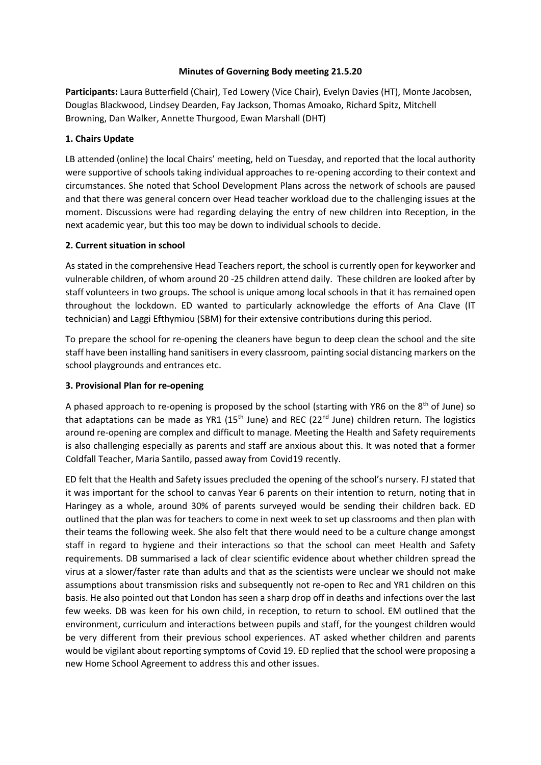### **Minutes of Governing Body meeting 21.5.20**

**Participants:** Laura Butterfield (Chair), Ted Lowery (Vice Chair), Evelyn Davies (HT), Monte Jacobsen, Douglas Blackwood, Lindsey Dearden, Fay Jackson, Thomas Amoako, Richard Spitz, Mitchell Browning, Dan Walker, Annette Thurgood, Ewan Marshall (DHT)

# **1. Chairs Update**

LB attended (online) the local Chairs' meeting, held on Tuesday, and reported that the local authority were supportive of schools taking individual approaches to re-opening according to their context and circumstances. She noted that School Development Plans across the network of schools are paused and that there was general concern over Head teacher workload due to the challenging issues at the moment. Discussions were had regarding delaying the entry of new children into Reception, in the next academic year, but this too may be down to individual schools to decide.

# **2. Current situation in school**

As stated in the comprehensive Head Teachers report, the school is currently open for keyworker and vulnerable children, of whom around 20 -25 children attend daily. These children are looked after by staff volunteers in two groups. The school is unique among local schools in that it has remained open throughout the lockdown. ED wanted to particularly acknowledge the efforts of Ana Clave (IT technician) and Laggi Efthymiou (SBM) for their extensive contributions during this period.

To prepare the school for re-opening the cleaners have begun to deep clean the school and the site staff have been installing hand sanitisers in every classroom, painting social distancing markers on the school playgrounds and entrances etc.

# **3. Provisional Plan for re-opening**

A phased approach to re-opening is proposed by the school (starting with YR6 on the  $8<sup>th</sup>$  of June) so that adaptations can be made as YR1 (15<sup>th</sup> June) and REC (22<sup>nd</sup> June) children return. The logistics around re-opening are complex and difficult to manage. Meeting the Health and Safety requirements is also challenging especially as parents and staff are anxious about this. It was noted that a former Coldfall Teacher, Maria Santilo, passed away from Covid19 recently.

ED felt that the Health and Safety issues precluded the opening of the school's nursery. FJ stated that it was important for the school to canvas Year 6 parents on their intention to return, noting that in Haringey as a whole, around 30% of parents surveyed would be sending their children back. ED outlined that the plan was for teachers to come in next week to set up classrooms and then plan with their teams the following week. She also felt that there would need to be a culture change amongst staff in regard to hygiene and their interactions so that the school can meet Health and Safety requirements. DB summarised a lack of clear scientific evidence about whether children spread the virus at a slower/faster rate than adults and that as the scientists were unclear we should not make assumptions about transmission risks and subsequently not re-open to Rec and YR1 children on this basis. He also pointed out that London has seen a sharp drop off in deaths and infections over the last few weeks. DB was keen for his own child, in reception, to return to school. EM outlined that the environment, curriculum and interactions between pupils and staff, for the youngest children would be very different from their previous school experiences. AT asked whether children and parents would be vigilant about reporting symptoms of Covid 19. ED replied that the school were proposing a new Home School Agreement to address this and other issues.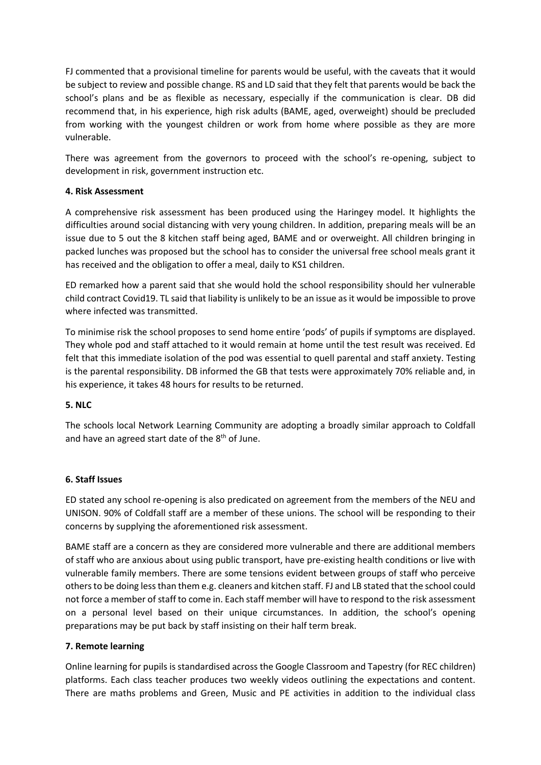FJ commented that a provisional timeline for parents would be useful, with the caveats that it would be subject to review and possible change. RS and LD said that they felt that parents would be back the school's plans and be as flexible as necessary, especially if the communication is clear. DB did recommend that, in his experience, high risk adults (BAME, aged, overweight) should be precluded from working with the youngest children or work from home where possible as they are more vulnerable.

There was agreement from the governors to proceed with the school's re-opening, subject to development in risk, government instruction etc.

### **4. Risk Assessment**

A comprehensive risk assessment has been produced using the Haringey model. It highlights the difficulties around social distancing with very young children. In addition, preparing meals will be an issue due to 5 out the 8 kitchen staff being aged, BAME and or overweight. All children bringing in packed lunches was proposed but the school has to consider the universal free school meals grant it has received and the obligation to offer a meal, daily to KS1 children.

ED remarked how a parent said that she would hold the school responsibility should her vulnerable child contract Covid19. TL said that liability is unlikely to be an issue as it would be impossible to prove where infected was transmitted.

To minimise risk the school proposes to send home entire 'pods' of pupils if symptoms are displayed. They whole pod and staff attached to it would remain at home until the test result was received. Ed felt that this immediate isolation of the pod was essential to quell parental and staff anxiety. Testing is the parental responsibility. DB informed the GB that tests were approximately 70% reliable and, in his experience, it takes 48 hours for results to be returned.

# **5. NLC**

The schools local Network Learning Community are adopting a broadly similar approach to Coldfall and have an agreed start date of the  $8<sup>th</sup>$  of June.

#### **6. Staff Issues**

ED stated any school re-opening is also predicated on agreement from the members of the NEU and UNISON. 90% of Coldfall staff are a member of these unions. The school will be responding to their concerns by supplying the aforementioned risk assessment.

BAME staff are a concern as they are considered more vulnerable and there are additional members of staff who are anxious about using public transport, have pre-existing health conditions or live with vulnerable family members. There are some tensions evident between groups of staff who perceive others to be doing less than them e.g. cleaners and kitchen staff. FJ and LB stated that the school could not force a member of staff to come in. Each staff member will have to respond to the risk assessment on a personal level based on their unique circumstances. In addition, the school's opening preparations may be put back by staff insisting on their half term break.

#### **7. Remote learning**

Online learning for pupils is standardised across the Google Classroom and Tapestry (for REC children) platforms. Each class teacher produces two weekly videos outlining the expectations and content. There are maths problems and Green, Music and PE activities in addition to the individual class